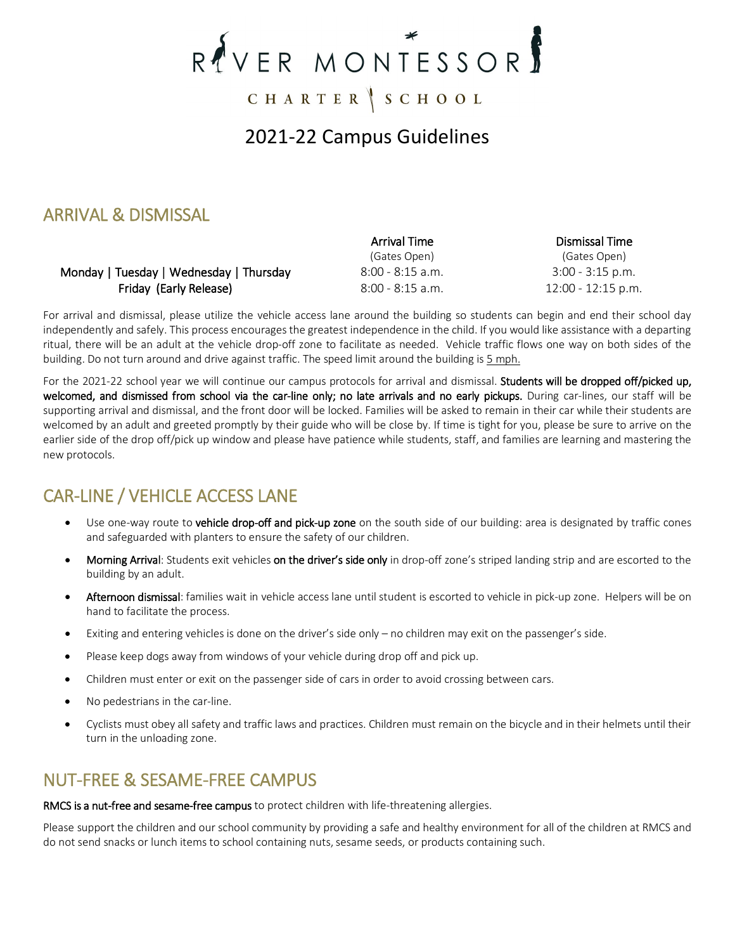# RYVER MONTESSOR

CHARTER SCHOOL

# 2021-22 Campus Guidelines

## ARRIVAL & DISMISSAL

#### Monday | Tuesday | Wednesday | Thursday  $8:00 - 8:15$  a.m.  $3:00 - 3:15$  p.m. **Friday (Early Release)** 8:00 - 8:15 a.m. 12:00 - 12:15 p.m.

 Arrival Time (Gates Open) Dismissal Time (Gates Open)

For arrival and dismissal, please utilize the vehicle access lane around the building so students can begin and end their school day independently and safely. This process encourages the greatest independence in the child. If you would like assistance with a departing ritual, there will be an adult at the vehicle drop-off zone to facilitate as needed. Vehicle traffic flows one way on both sides of the building. Do not turn around and drive against traffic. The speed limit around the building is 5 mph.

For the 2021-22 school year we will continue our campus protocols for arrival and dismissal. Students will be dropped off/picked up, welcomed, and dismissed from school via the car-line only; no late arrivals and no early pickups. During car-lines, our staff will be supporting arrival and dismissal, and the front door will be locked. Families will be asked to remain in their car while their students are welcomed by an adult and greeted promptly by their guide who will be close by. If time is tight for you, please be sure to arrive on the earlier side of the drop off/pick up window and please have patience while students, staff, and families are learning and mastering the new protocols.

# CAR-LINE / VEHICLE ACCESS LANE

- Use one-way route to vehicle drop-off and pick-up zone on the south side of our building: area is designated by traffic cones and safeguarded with planters to ensure the safety of our children.
- Morning Arrival: Students exit vehicles on the driver's side only in drop-off zone's striped landing strip and are escorted to the building by an adult.
- Afternoon dismissal: families wait in vehicle access lane until student is escorted to vehicle in pick-up zone. Helpers will be on hand to facilitate the process.
- Exiting and entering vehicles is done on the driver's side only no children may exit on the passenger's side.
- Please keep dogs away from windows of your vehicle during drop off and pick up.
- Children must enter or exit on the passenger side of cars in order to avoid crossing between cars.
- No pedestrians in the car-line.
- Cyclists must obey all safety and traffic laws and practices. Children must remain on the bicycle and in their helmets until their turn in the unloading zone.

## NUT-FREE & SESAME-FREE CAMPUS

RMCS is a nut-free and sesame-free campus to protect children with life-threatening allergies.

Please support the children and our school community by providing a safe and healthy environment for all of the children at RMCS and do not send snacks or lunch items to school containing nuts, sesame seeds, or products containing such.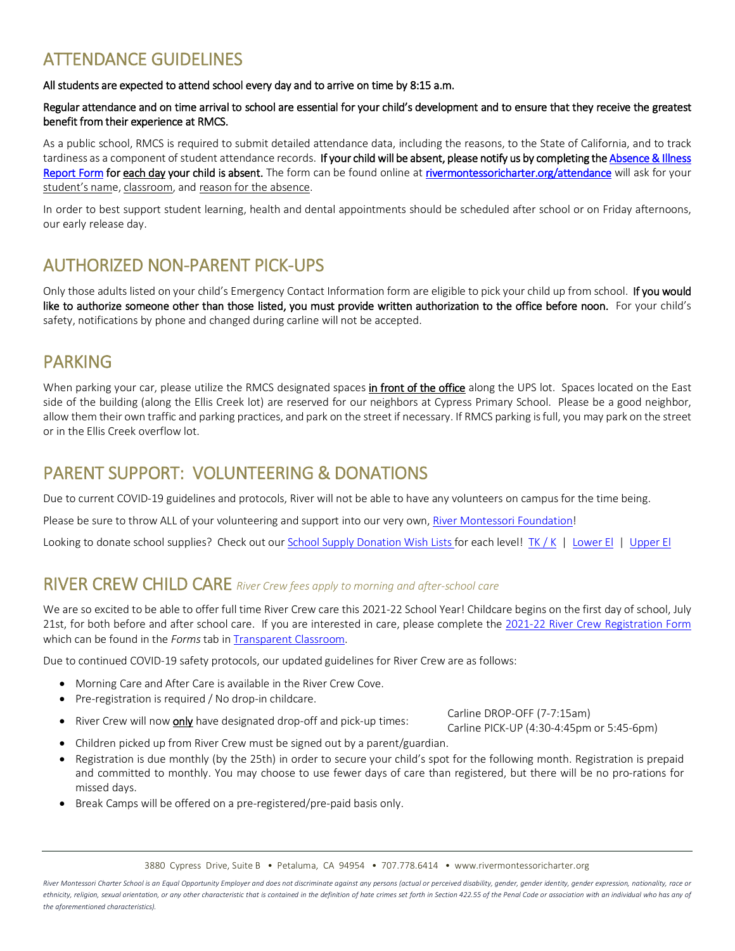# ATTENDANCE GUIDELINES

All students are expected to attend school every day and to arrive on time by 8:15 a.m.

#### Regular attendance and on time arrival to school are essential for your child's development and to ensure that they receive the greatest benefit from their experience at RMCS.

As a public school, RMCS is required to submit detailed attendance data, including the reasons, to the State of California, and to track tardiness as a component of student attendance records. If your child will be absent, please notify us by completing the Absence & Illness [Report Form](https://www.rivermontessoricharter.org/attendance.html) for each day your child is absent. The form can be found online a[t rivermontessoricharter.org/attendance](https://www.rivermontessoricharter.org/attendance.html) will ask for your student's name, classroom, and reason for the absence.

In order to best support student learning, health and dental appointments should be scheduled after school or on Friday afternoons, our early release day.

## AUTHORIZED NON-PARENT PICK-UPS

Only those adults listed on your child's Emergency Contact Information form are eligible to pick your child up from school. If you would like to authorize someone other than those listed, you must provide written authorization to the office before noon. For your child's safety, notifications by phone and changed during carline will not be accepted.

#### PARKING

When parking your car, please utilize the RMCS designated spaces in front of the office along the UPS lot. Spaces located on the East side of the building (along the Ellis Creek lot) are reserved for our neighbors at Cypress Primary School. Please be a good neighbor, allow them their own traffic and parking practices, and park on the street if necessary. If RMCS parking is full, you may park on the street or in the Ellis Creek overflow lot.

#### PARENT SUPPORT: VOLUNTEERING & DONATIONS

Due to current COVID-19 guidelines and protocols, River will not be able to have any volunteers on campus for the time being.

Please be sure to throw ALL of your volunteering and support into our very own[, River Montessori Foundation!](https://www.rivermontessoricharter.org/rmf.html)

Looking to donate school supplies? Check out ou[r School Supply Donation Wish Lists f](https://www.rivermontessoricharter.org/families.html)or each level! [TK / K](https://www.rivermontessoricharter.org/uploads/6/0/9/8/6098388/2021-22_tk-k_supply_donation_wish_list.pdf) | [Lower El](https://www.rivermontessoricharter.org/uploads/6/0/9/8/6098388/2021-22_lower_el_supply_donation_wish_list.pdf) | [Upper El](https://www.rivermontessoricharter.org/uploads/6/0/9/8/6098388/2021-22_upper_el_supply_donation_wish_list.pdf)

#### RIVER CREW CHILD CARE *River Crew fees apply to morning and after-school care*

We are so excited to be able to offer full time River Crew care this 2021-22 School Year! Childcare begins on the first day of school, July 21st, for both before and after school care. If you are interested in care, please complete the [2021-22 River Crew Registration Form](https://www.transparentclassroom.com/s/663/dashboard?locale=en) which can be found in the *Forms* tab i[n Transparent Classroom.](https://www.transparentclassroom.com/s/663/dashboard?locale=en)

Due to continued COVID-19 safety protocols, our updated guidelines for River Crew are as follows:

- Morning Care and After Care is available in the River Crew Cove.
- Pre-registration is required / No drop-in childcare.
- River Crew will now only have designated drop-off and pick-up times:<br>
River Crew will now only have designated drop-off and pick-up times:

Carline PICK-UP (4:30-4:45pm or 5:45-6pm)

- Children picked up from River Crew must be signed out by a parent/guardian.
- Registration is due monthly (by the 25th) in order to secure your child's spot for the following month. Registration is prepaid and committed to monthly. You may choose to use fewer days of care than registered, but there will be no pro-rations for missed days.
- Break Camps will be offered on a pre-registered/pre-paid basis only.

3880 Cypress Drive, Suite B • Petaluma, CA 94954 • 707.778.6414 • www.rivermontessoricharter.org

*River Montessori Charter School is an Equal Opportunity Employer and does not discriminate against any persons (actual or perceived disability, gender, gender identity, gender expression, nationality, race or*  ethnicity, religion, sexual orientation, or any other characteristic that is contained in the definition of hate crimes set forth in Section 422.55 of the Penal Code or association with an individual who has any of *the aforementioned characteristics).*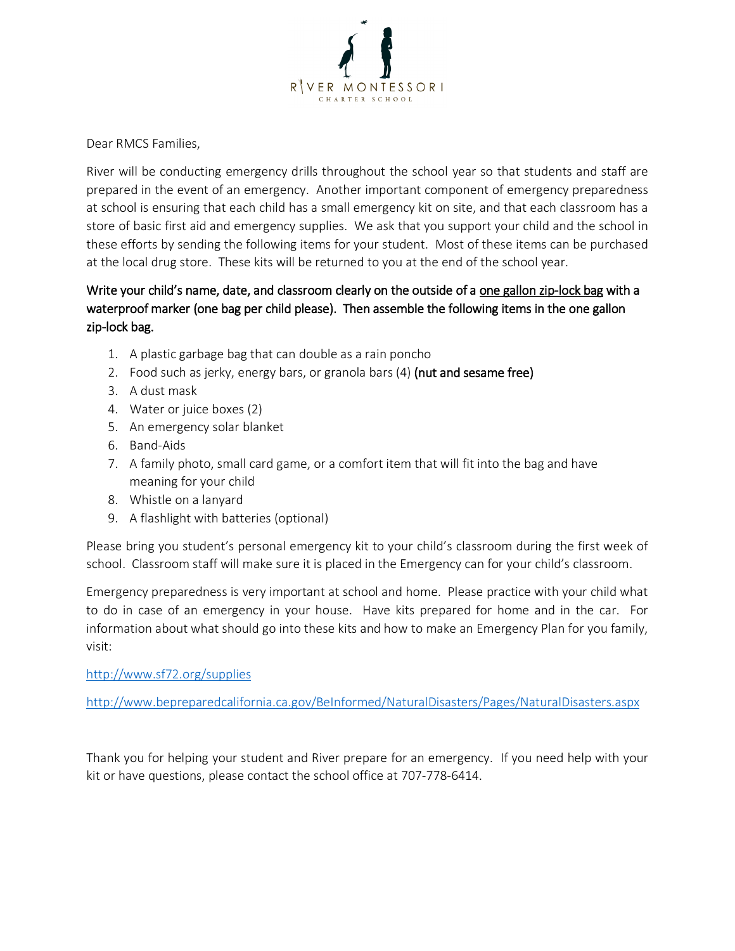

Dear RMCS Families,

River will be conducting emergency drills throughout the school year so that students and staff are prepared in the event of an emergency. Another important component of emergency preparedness at school is ensuring that each child has a small emergency kit on site, and that each classroom has a store of basic first aid and emergency supplies. We ask that you support your child and the school in these efforts by sending the following items for your student. Most of these items can be purchased at the local drug store. These kits will be returned to you at the end of the school year.

#### Write your child's name, date, and classroom clearly on the outside of a one gallon zip-lock bag with a waterproof marker (one bag per child please). Then assemble the following items in the one gallon zip-lock bag.

- 1. A plastic garbage bag that can double as a rain poncho
- 2. Food such as jerky, energy bars, or granola bars  $(4)$  (nut and sesame free)
- 3. A dust mask
- 4. Water or juice boxes (2)
- 5. An emergency solar blanket
- 6. Band-Aids
- 7. A family photo, small card game, or a comfort item that will fit into the bag and have meaning for your child
- 8. Whistle on a lanyard
- 9. A flashlight with batteries (optional)

Please bring you student's personal emergency kit to your child's classroom during the first week of school. Classroom staff will make sure it is placed in the Emergency can for your child's classroom.

Emergency preparedness is very important at school and home. Please practice with your child what to do in case of an emergency in your house. Have kits prepared for home and in the car. For information about what should go into these kits and how to make an Emergency Plan for you family, visit:

<http://www.sf72.org/supplies>

<http://www.bepreparedcalifornia.ca.gov/BeInformed/NaturalDisasters/Pages/NaturalDisasters.aspx>

Thank you for helping your student and River prepare for an emergency. If you need help with your kit or have questions, please contact the school office at 707-778-6414.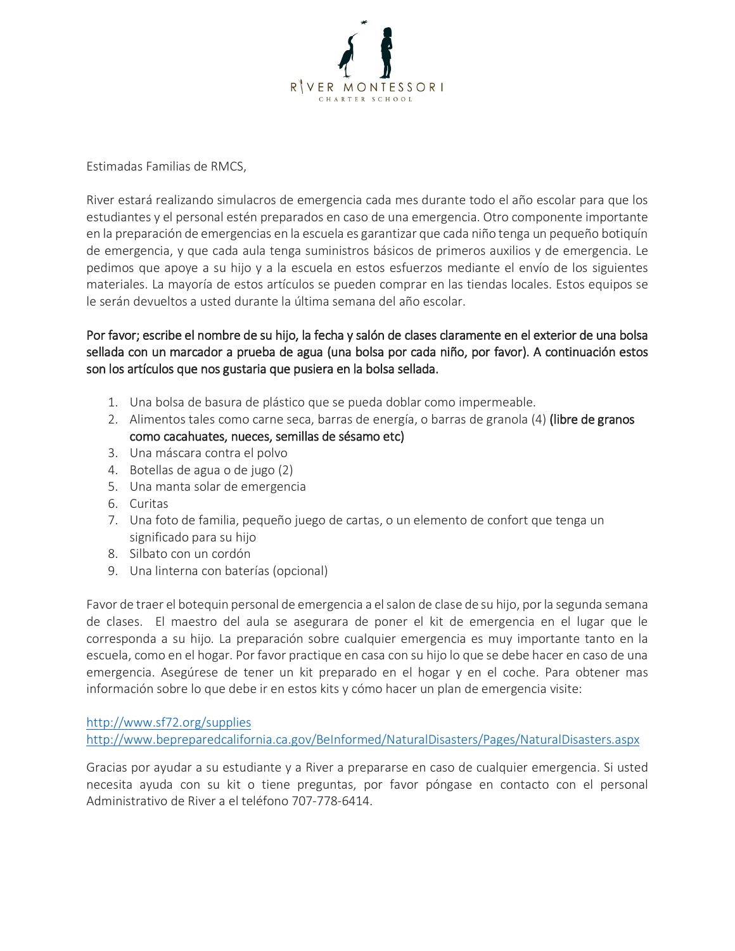

Estimadas Familias de RMCS,

River estará realizando simulacros de emergencia cada mes durante todo el año escolar para que los estudiantes y el personal estén preparados en caso de una emergencia. Otro componente importante en la preparación de emergencias en la escuela es garantizar que cada niño tenga un pequeño botiquín de emergencia, y que cada aula tenga suministros básicos de primeros auxilios y de emergencia. Le pedimos que apoye a su hijo y a la escuela en estos esfuerzos mediante el envío de los siguientes materiales. La mayoría de estos artículos se pueden comprar en las tiendas locales. Estos equipos se le serán devueltos a usted durante la última semana del año escolar.

#### Por favor; escribe el nombre de su hijo, la fecha y salón de clases claramente en el exterior de una bolsa sellada con un marcador a prueba de agua (una bolsa por cada niño, por favor). A continuación estos son los artículos que nos gustaria que pusiera en la bolsa sellada.

- 1. Una bolsa de basura de plástico que se pueda doblar como impermeable.
- 2. Alimentos tales como carne seca, barras de energía, o barras de granola (4) (libre de granos como cacahuates, nueces, semillas de sésamo etc)
- 3. Una máscara contra el polvo
- 4. Botellas de agua o de jugo (2)
- 5. Una manta solar de emergencia
- 6. Curitas
- 7. Una foto de familia, pequeño juego de cartas, o un elemento de confort que tenga un significado para su hijo
- 8. Silbato con un cordón
- 9. Una linterna con baterías (opcional)

Favor de traer el botequin personal de emergencia a el salon de clase de su hijo, por la segunda semana de clases. El maestro del aula se asegurara de poner el kit de emergencia en el lugar que le corresponda a su hijo. La preparación sobre cualquier emergencia es muy importante tanto en la escuela, como en el hogar. Por favor practique en casa con su hijo lo que se debe hacer en caso de una emergencia. Asegúrese de tener un kit preparado en el hogar y en el coche. Para obtener mas información sobre lo que debe ir en estos kits y cómo hacer un plan de emergencia visite:

<http://www.sf72.org/supplies> <http://www.bepreparedcalifornia.ca.gov/BeInformed/NaturalDisasters/Pages/NaturalDisasters.aspx>

Gracias por ayudar a su estudiante y a River a prepararse en caso de cualquier emergencia. Si usted necesita ayuda con su kit o tiene preguntas, por favor póngase en contacto con el personal Administrativo de River a el teléfono 707-778-6414.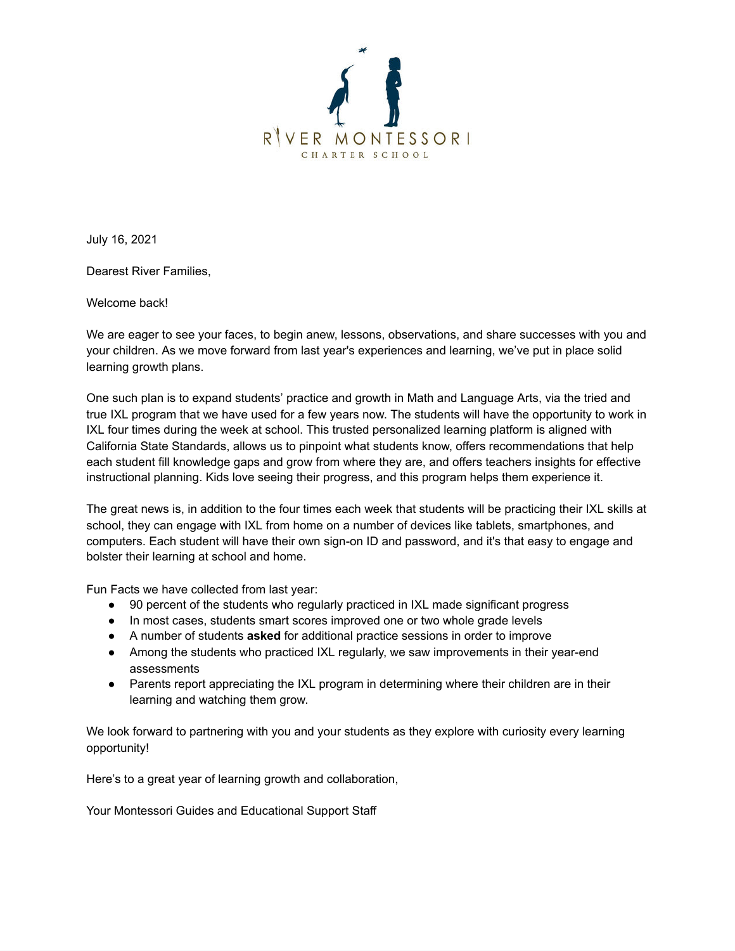

July 16, 2021

Dearest River Families,

Welcome back!

We are eager to see your faces, to begin anew, lessons, observations, and share successes with you and your children. As we move forward from last year's experiences and learning, we've put in place solid learning growth plans.

One such plan is to expand students' practice and growth in Math and Language Arts, via the tried and true IXL program that we have used for a few years now. The students will have the opportunity to work in IXL four times during the week at school. This trusted personalized learning platform is aligned with California State Standards, allows us to pinpoint what students know, offers recommendations that help each student fill knowledge gaps and grow from where they are, and offers teachers insights for effective instructional planning. Kids love seeing their progress, and this program helps them experience it.

The great news is, in addition to the four times each week that students will be practicing their IXL skills at school, they can engage with IXL from home on a number of devices like tablets, smartphones, and computers. Each student will have their own sign-on ID and password, and it's that easy to engage and bolster their learning at school and home.

Fun Facts we have collected from last year:

- 90 percent of the students who regularly practiced in IXL made significant progress
- In most cases, students smart scores improved one or two whole grade levels
- A number of students **asked** for additional practice sessions in order to improve
- Among the students who practiced IXL regularly, we saw improvements in their year-end assessments
- Parents report appreciating the IXL program in determining where their children are in their learning and watching them grow.

We look forward to partnering with you and your students as they explore with curiosity every learning opportunity!

Here's to a great year of learning growth and collaboration,

Your Montessori Guides and Educational Support Staff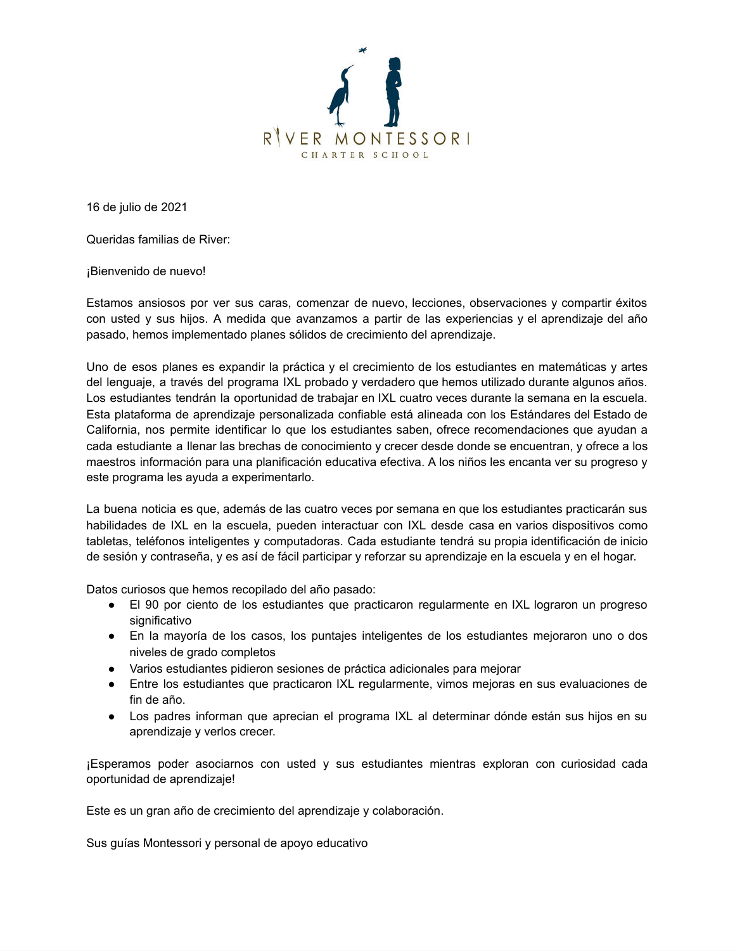

16 de julio de 2021

Queridas familias de River:

¡Bienvenido de nuevo!

Estamos ansiosos por ver sus caras, comenzar de nuevo, lecciones, observaciones y compartir éxitos con usted y sus hijos. A medida que avanzamos a partir de las experiencias y el aprendizaje del año pasado, hemos implementado planes sólidos de crecimiento del aprendizaje.

Uno de esos planes es expandir la práctica y el crecimiento de los estudiantes en matemáticas y artes del lenguaje, a través del programa IXL probado y verdadero que hemos utilizado durante algunos años. Los estudiantes tendrán la oportunidad de trabajar en IXL cuatro veces durante la semana en la escuela. Esta plataforma de aprendizaje personalizada confiable está alineada con los Estándares del Estado de California, nos permite identificar lo que los estudiantes saben, ofrece recomendaciones que ayudan a cada estudiante a llenar las brechas de conocimiento y crecer desde donde se encuentran, y ofrece a los maestros información para una planificación educativa efectiva. A los niños les encanta ver su progreso y este programa les ayuda a experimentarlo.

La buena noticia es que, además de las cuatro veces por semana en que los estudiantes practicarán sus habilidades de IXL en la escuela, pueden interactuar con IXL desde casa en varios dispositivos como tabletas, teléfonos inteligentes y computadoras. Cada estudiante tendrá su propia identificación de inicio de sesión y contraseña, y es así de fácil participar y reforzar su aprendizaje en la escuela y en el hogar.

Datos curiosos que hemos recopilado del año pasado:

- El 90 por ciento de los estudiantes que practicaron regularmente en IXL lograron un progreso significativo
- En la mayoría de los casos, los puntajes inteligentes de los estudiantes mejoraron uno o dos niveles de grado completos
- Varios estudiantes pidieron sesiones de práctica adicionales para mejorar
- Entre los estudiantes que practicaron IXL regularmente, vimos mejoras en sus evaluaciones de fin de año.
- Los padres informan que aprecian el programa IXL al determinar dónde están sus hijos en su aprendizaje y verlos crecer.

¡Esperamos poder asociarnos con usted y sus estudiantes mientras exploran con curiosidad cada oportunidad de aprendizaje!

Este es un gran año de crecimiento del aprendizaje y colaboración.

Sus guías Montessori y personal de apoyo educativo